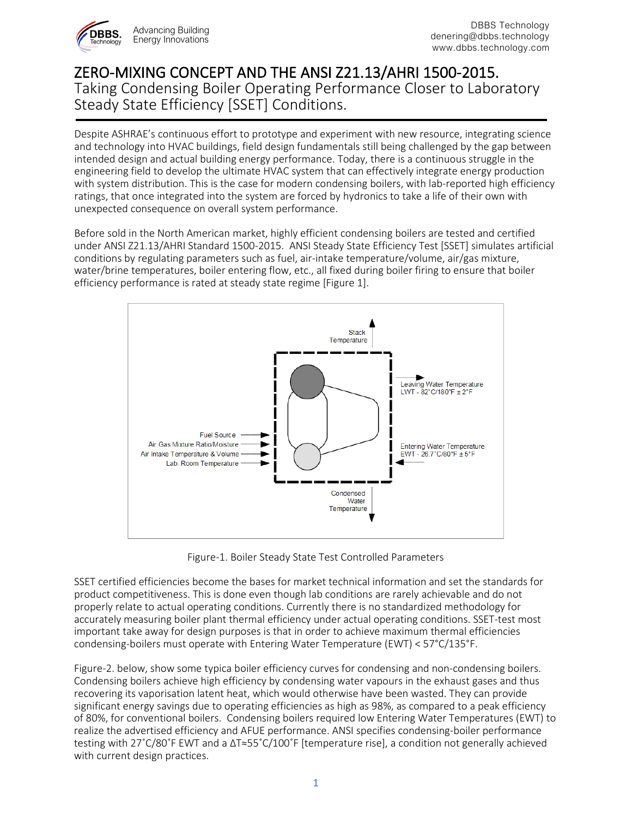

## ZERO-MIXING CONCEPT AND THE ANSI Z21.13/AHRI 1500-2015. Taking Condensing Boiler Operating Performance Closer to Laboratory Steady State Efficiency [SSET] Conditions.

Despite ASHRAE's continuous effort to prototype and experiment with new resource, integrating science and technology into HVAC buildings, field design fundamentals still being challenged by the gap between intended design and actual building energy performance. Today, there is a continuous struggle in the engineering field to develop the ultimate HVAC system that can effectively integrate energy production with system distribution. This is the case for modern condensing boilers, with lab-reported high efficiency ratings, that once integrated into the system are forced by hydronics to take a life of their own with unexpected consequence on overall system performance.

Before sold in the North American market, highly efficient condensing boilers are tested and certified under ANSI Z21.13/AHRI Standard 1500-2015. ANSI Steady State Efficiency Test [SSET] simulates artificial conditions by regulating parameters such as fuel, air-intake temperature/volume, air/gas mixture, water/brine temperatures, boiler entering flow, etc., all fixed during boiler firing to ensure that boiler efficiency performance is rated at steady state regime [Figure 1].



Figure-1. Boiler Steady State Test Controlled Parameters

SSET certified efficiencies become the bases for market technical information and set the standards for product competitiveness. This is done even though lab conditions are rarely achievable and do not properly relate to actual operating conditions. Currently there is no standardized methodology for accurately measuring boiler plant thermal efficiency under actual operating conditions. SSET-test most important take away for design purposes is that in order to achieve maximum thermal efficiencies condensing-boilers must operate with Entering Water Temperature (EWT) < 57°C/135°F.

Figure-2. below, show some typica boiler efficiency curves for condensing and non-condensing boilers. Condensing boilers achieve high efficiency by condensing water vapours in the exhaust gases and thus recovering its vaporisation latent heat, which would otherwise have been wasted. They can provide significant energy savings due to operating efficiencies as high as 98%, as compared to a peak efficiency of 80%, for conventional boilers. Condensing boilers required low Entering Water Temperatures (EWT) to realize the advertised efficiency and AFUE performance. ANSI specifies condensing-boiler performance testing with 27˚C/80˚F EWT and a ∆T≈55˚C/100˚F [temperature rise], a condition not generally achieved with current design practices.